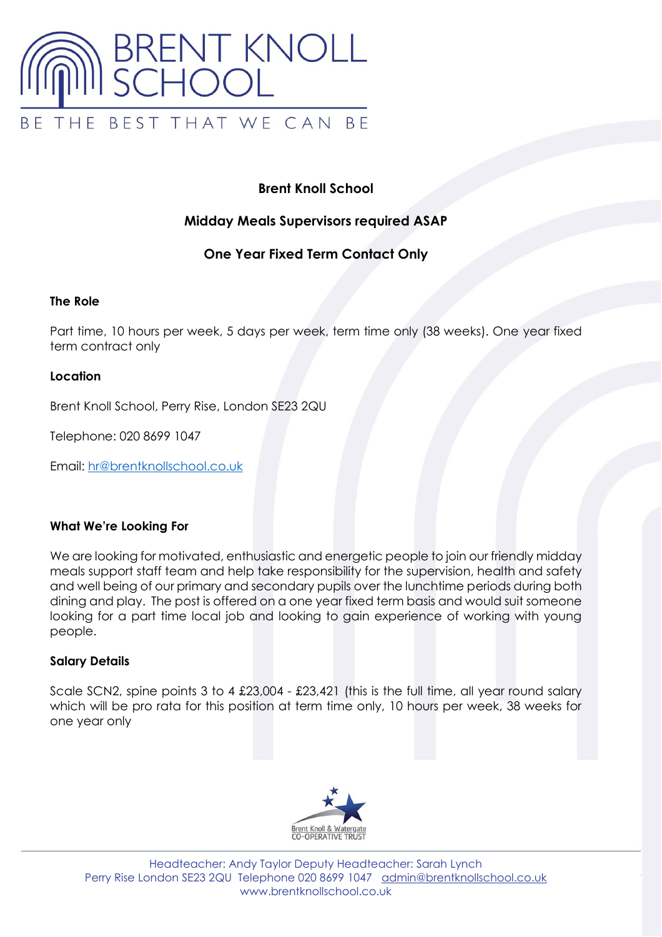

# **Brent Knoll School**

## **Midday Meals Supervisors required ASAP**

### **One Year Fixed Term Contact Only**

### **The Role**

Part time, 10 hours per week, 5 days per week, term time only (38 weeks). One year fixed term contract only

### **Location**

Brent Knoll School, Perry Rise, London SE23 2QU

Telephone: 020 8699 1047

Email: [hr@brentknollschool.co.uk](mailto:hr@brentknollschool.co.uk)

### **What We're Looking For**

We are looking for motivated, enthusiastic and energetic people to join our friendly midday meals support staff team and help take responsibility for the supervision, health and safety and well being of our primary and secondary pupils over the lunchtime periods during both dining and play. The post is offered on a one year fixed term basis and would suit someone looking for a part time local job and looking to gain experience of working with young people.

### **Salary Details**

Scale SCN2, spine points 3 to 4 £23,004 - £23,421 (this is the full time, all year round salary which will be pro rata for this position at term time only, 10 hours per week, 38 weeks for one year only